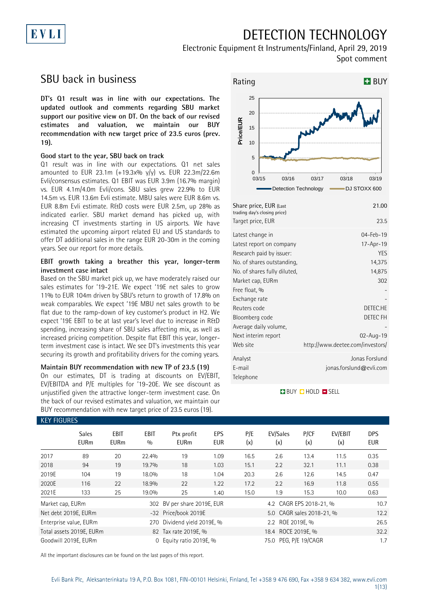## DETECTION TECHNOLOGY



## SBU back in business

EVLI

**DT's Q1 result was in line with our expectations. The updated outlook and comments regarding SBU market support our positive view on DT. On the back of our revised estimates and valuation, we maintain our BUY recommendation with new target price of 23.5 euros (prev. 19).**

#### **Good start to the year, SBU back on track**

Q1 result was in line with our expectations. Q1 net sales amounted to EUR 23.1m  $(+19.3x\% y/y)$  vs. EUR 22.3m/22.6m Evli/consensus estimates. Q1 EBIT was EUR 3.9m (16.7% margin) vs. EUR 4.1m/4.0m Evli/cons. SBU sales grew 22.9% to EUR 14.5m vs. EUR 13.6m Evli estimate. MBU sales were EUR 8.6m vs. EUR 8.8m Evli estimate. R&D costs were EUR 2.5m, up 28% as indicated earlier. SBU market demand has picked up, with increasing CT investments starting in US airports. We have estimated the upcoming airport related EU and US standards to offer DT additional sales in the range EUR 20-30m in the coming years. See our report for more details.

#### **EBIT growth taking a breather this year, longer-term investment case intact**

Based on the SBU market pick up, we have moderately raised our sales estimates for '19-21E. We expect '19E net sales to grow 11% to EUR 104m driven by SBU's return to growth of 17.8% on weak comparables. We expect '19E MBU net sales growth to be flat due to the ramp-down of key customer's product in H2. We expect '19E EBIT to be at last year's level due to increase in R&D spending, increasing share of SBU sales affecting mix, as well as increased pricing competition. Despite flat EBIT this year, longerterm investment case is intact. We see DT's investments this year securing its growth and profitability drivers for the coming years.

### **Maintain BUY recommendation with new TP of 23.5 (19)** On our estimates, DT is trading at discounts on EV/EBIT, EV/EBITDA and P/E multiples for '19-20E. We see discount as

unjustified given the attractive longer-term investment case. On the back of our revised estimates and valuation, we maintain our BUY recommendation with new target price of 23.5 euros (19).



**BUY QHOLD SELL** 

Reuters code DETEC.HE Bloomberg code DETEC FH

Next interim report 02-Aug-19

Web site http://www.deetee.com/investors/ Analyst Jonas Forslund E-mail jonas.forslund@evli.com

-

| <b>KEY FIGURES</b>               |                             |                     |             |                             |                   |            |                           |             |                |                          |  |
|----------------------------------|-----------------------------|---------------------|-------------|-----------------------------|-------------------|------------|---------------------------|-------------|----------------|--------------------------|--|
|                                  | <b>Sales</b><br><b>EURm</b> | EBIT<br><b>EURm</b> | EBIT<br>0/0 | Ptx profit<br><b>EURm</b>   | EPS<br><b>EUR</b> | P/E<br>(x) | EV/Sales<br>(x)           | P/CF<br>(x) | EV/EBIT<br>(x) | <b>DPS</b><br><b>EUR</b> |  |
| 2017                             | 89                          | 20                  | 22.4%       | 19                          | 1.09              | 16.5       | 2.6                       | 13.4        | 11.5           | 0.35                     |  |
| 2018                             | 94                          | 19                  | 19.7%       | 18                          | 1.03              | 15.1       | 2.2                       | 32.1        | 11.1           | 0.38                     |  |
| 2019E                            | 104                         | 19                  | 18.0%       | 18                          | 1.04              | 20.3       | 2.6                       | 12.6        | 14.5           | 0.47                     |  |
| 2020E                            | 116                         | 22                  | 18.9%       | 22                          | 1.22              | 17.2       | 2.2                       | 16.9        | 11.8           | 0.55                     |  |
| 2021E                            | 133                         | 25                  | 19.0%       | 25                          | 1.40              | 15.0       | 1.9                       | 15.3        | 10.0           | 0.63                     |  |
| Market cap, EURm                 |                             |                     |             | 302 BV per share 2019E, EUR |                   |            | 4.2 CAGR EPS 2018-21, %   |             |                | 10.7                     |  |
|                                  | Net debt 2019E, EURm        |                     |             | -32 Price/book 2019E        |                   |            | 5.0 CAGR sales 2018-21, % |             |                |                          |  |
|                                  | Enterprise value, EURm      |                     | 270         | Dividend yield 2019E, %     |                   |            | 2.2 ROE 2019E, %          |             |                |                          |  |
|                                  | Total assets 2019E, EURm    |                     |             | 82 Tax rate 2019E, %        |                   |            | 18.4 ROCE 2019E, %        |             |                |                          |  |
| Goodwill 2019E, EURm<br>$\Omega$ |                             |                     |             | Equity ratio 2019E, %       |                   |            | 75.0 PEG, P/E 19/CAGR     |             |                |                          |  |

Free float, % Exchange rate

Telephone

Average daily volume,

All the important disclosures can be found on the last pages of this report.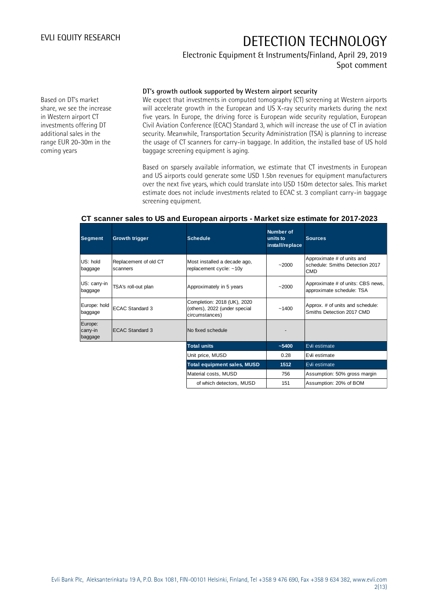### Electronic Equipment & Instruments/Finland, April 29, 2019 Spot comment

Based on DT's market share, we see the increase in Western airport CT investments offering DT additional sales in the range EUR 20-30m in the coming years

#### **DT's growth outlook supported by Western airport security**

We expect that investments in computed tomography (CT) screening at Western airports will accelerate growth in the European and US X-ray security markets during the next five years. In Europe, the driving force is European wide security regulation, European Civil Aviation Conference (ECAC) Standard 3, which will increase the use of CT in aviation security. Meanwhile, Transportation Security Administration (TSA) is planning to increase the usage of CT scanners for carry-in baggage. In addition, the installed base of US hold baggage screening equipment is aging.

Based on sparsely available information, we estimate that CT investments in European and US airports could generate some USD 1.5bn revenues for equipment manufacturers over the next five years, which could translate into USD 150m detector sales. This market estimate does not include investments related to ECAC st. 3 compliant carry-in baggage screening equipment.

#### **CT scanner sales to US and European airports - Market size estimate for 2017-2023**

| Segment                        | Growth trigger                    | <b>Schedule</b>                                                                | <b>Number of</b><br>units to<br>install/replace | <b>Sources</b>                                                              |
|--------------------------------|-----------------------------------|--------------------------------------------------------------------------------|-------------------------------------------------|-----------------------------------------------------------------------------|
| US: hold<br>baggage            | Replacement of old CT<br>scanners | Most installed a decade ago,<br>replacement cycle: ~10y                        | $-2000$                                         | Approximate # of units and<br>schedule: Smiths Detection 2017<br><b>CMD</b> |
| US: carry-in<br>baggage        | TSA's roll-out plan               | Approximately in 5 years                                                       | $-2000$                                         | Approximate # of units: CBS news,<br>approximate schedule: TSA              |
| Europe: hold<br>baggage        | <b>ECAC Standard 3</b>            | Completion: 2018 (UK), 2020<br>(others), 2022 (under special<br>circumstances) | ~1400                                           | Approx. # of units and schedule:<br>Smiths Detection 2017 CMD               |
| Europe:<br>carry-in<br>baggage | <b>ECAC Standard 3</b>            | No fixed schedule                                                              |                                                 |                                                                             |
|                                |                                   | <b>Total units</b>                                                             | $-5400$                                         | Evli estimate                                                               |
|                                |                                   | Unit price, MUSD                                                               | 0.28                                            | Evli estimate                                                               |
|                                |                                   | <b>Total equipment sales, MUSD</b>                                             | 1512                                            | Evli estimate                                                               |
|                                |                                   | Material costs, MUSD                                                           | 756                                             | Assumption: 50% gross margin                                                |
|                                |                                   | of which detectors, MUSD                                                       | 151                                             | Assumption: 20% of BOM                                                      |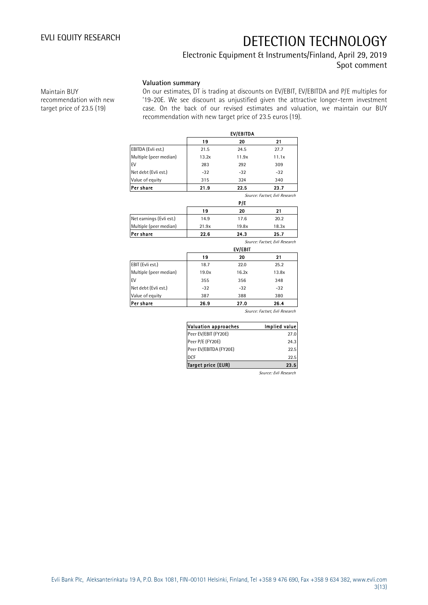### Electronic Equipment & Instruments/Finland, April 29, 2019 Spot comment

**Valuation summary**

Maintain BUY recommendation with new target price of 23.5 (19)

On our estimates, DT is trading at discounts on EV/EBIT, EV/EBITDA and P/E multiples for '19-20E. We see discount as unjustified given the attractive longer-term investment case. On the back of our revised estimates and valuation, we maintain our BUY recommendation with new target price of 23.5 euros (19).

|                          | 19    | EV/EBITDA<br>20 | 21                             |
|--------------------------|-------|-----------------|--------------------------------|
| EBITDA (Evli est.)       | 21.5  | 24.5            | 27.7                           |
| Multiple (peer median)   | 13.2x | 11.9x           | 11.1x                          |
| EV                       | 283   | 292             | 309                            |
| Net debt (Evli est.)     | $-32$ | $-32$           | $-32$                          |
| Value of equity          | 315   | 324             | 340                            |
| Per share                | 21.9  | 22.5            | 23.7                           |
|                          |       |                 | Source: Factset, Evli Research |
|                          |       | P/E             |                                |
|                          | 19    | 20              | 21                             |
| Net earnings (Evli est.) | 14.9  | 17.6            | 20.2                           |
| Multiple (peer median)   | 21.9x | 19.8x           | 18.3x                          |
| Per share                | 22.6  | 24.3            | 25.7                           |
|                          |       |                 | Source: Factset, Evli Research |
|                          |       | EV/EBIT         |                                |
|                          | 19    | 20              | 21                             |
| EBIT (Evli est.)         | 18.7  | 22.0            | 25.2                           |
| Multiple (peer median)   | 19.0x | 16.2x           | 13.8x                          |
| EV                       | 355   | 356             | 348                            |
| Net debt (Evli est.)     | $-32$ | $-32$           | $-32$                          |
| Value of equity          | 387   | 388             | 380                            |
| Per share                | 26.9  | 27.0            | 26.4                           |

Source: Factset, Evli Research

| Valuation approaches      | Implied value |
|---------------------------|---------------|
| Peer EV/EBIT (FY20E)      | 27.0          |
| Peer P/E (FY20E)          | 24.3          |
| Peer EV/EBITDA (FY20E)    | 22.5          |
| <b>DCF</b>                | 22.5          |
| <b>Target price (EUR)</b> | 23.5          |

Source: Evli Research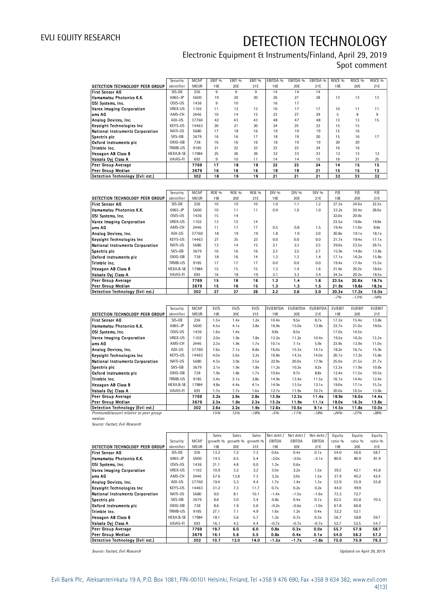### Electronic Equipment & Instruments/Finland, April 29, 2019 Spot comment

|                                         | Electronic Equipment et motiumentoj i munuitaj riprir zoj zo lo |             |                   |                   |                   |          |          |          |                   |                   |                   |  |
|-----------------------------------------|-----------------------------------------------------------------|-------------|-------------------|-------------------|-------------------|----------|----------|----------|-------------------|-------------------|-------------------|--|
|                                         |                                                                 |             |                   |                   |                   |          |          |          |                   | Spot comment      |                   |  |
|                                         |                                                                 |             |                   |                   |                   |          |          |          |                   |                   |                   |  |
|                                         | Security                                                        | <b>MCAP</b> | EBIT <sub>%</sub> | EBIT <sub>%</sub> | EBIT <sub>%</sub> | EBITDA % | EBITDA % | EBITDA % | ROCE <sub>%</sub> | ROCE <sub>%</sub> | ROCE <sub>%</sub> |  |
| DETECTION TECHNOLOGY PEER GROUP         | identifier                                                      | <b>MEUR</b> | 19E               | 20E               | 21E               | 19E      | 20E      | 21E      | 19E               | 20E               | 21E               |  |
| <b>First Sensor AG</b>                  | SIS-DE                                                          | 236         | 9                 | 9                 | 9                 | 14       | 14       | 14       |                   |                   |                   |  |
| Hamamatsu Photonics K.K.                | 6965-JP                                                         | 5600        | 19                | 20                | 20                | 26       | 27       | 28       | 13                | 13                | 13                |  |
| OSI Systems, Inc.                       | OSIS-US                                                         | 1436        | 9                 | 10 <sup>1</sup>   |                   | 16       | 17       |          |                   |                   |                   |  |
| <b>Varex Imaging Corporation</b>        | VREX-US                                                         | 1102        | 11                | 12                | 13                | 16       | 17       | 17       | 10                | 11                | 11                |  |
| ams AG                                  | AMS-CH                                                          | 2446        | 10                | 14                | 15                | 23       | 27       | 29       | 5                 | 8                 | 9                 |  |
| Analog Devices, Inc.                    | ADI-US                                                          | 37760       | 42                | 43                | 43                | 48       | 47       | 48       | 13                | 13                | 15                |  |
| Keysight Technologies Inc               | KEYS-US                                                         | 14463       | 20                | 21                | 20                | 24       | 25       | 23       | 15                | 15                |                   |  |
| <b>National Instruments Corporation</b> | NATI-US                                                         | 5680        | 17                | 18                | 16                | 19       | 19       | 19       | 15                | 16                |                   |  |
| Spectris plc                            | SXS-GB                                                          | 3679        | 16                | 16                | 17                | 18       | 19       | 20       | 15                | 16                | 17                |  |
| Oxford Instruments plc                  | OXIG-GB                                                         | 738         | 16                | 16                | 16                | 18       | 19       | 19       | 20                | 20                |                   |  |
| Trimble Inc.                            | TRMB-US                                                         | 9185        | 21                | 22                | 23                | 23       | 23       | 24       | 16                | 16                |                   |  |
| Hexagon AB Class B                      | HEXA.B-SE                                                       | 17984       | 25                | 26                | 26                | 32       | 33       | 33       | 12                | 13                | 12                |  |
| Vaisala Oyj Class A                     | VAIAS-FI                                                        | 693         | 9                 | 10                | 11                | 14       | 14       | 15       | 16                | 21                | 25                |  |
| Peer Group Average                      |                                                                 | 7769        | 17                | 18                | 19                | 22       | 23       | 24       | 14                | 15                | 15                |  |
| Peer Group Median                       |                                                                 | 3679        | 16                | 16                | 16                | 19       | 19       | 21       | 15                | 15                | 13                |  |
| Detection Technology (Evli est.)        |                                                                 | 302         | 18                | 19                | 19                | 21       | 21       | 21       | 32                | 33                | 32                |  |

| Peer Group Median                |            | 3679        | 16           | 16           | 16           | 19    | 19    | 21    | 15    | 15     | 13     |
|----------------------------------|------------|-------------|--------------|--------------|--------------|-------|-------|-------|-------|--------|--------|
| Detection Technology (Evli est.) |            | 302         | 18           | 19           | 19           | 21    | 21    | 21    | 32    | 33     | 32     |
|                                  |            |             |              |              |              |       |       |       |       |        |        |
|                                  | Security   | <b>MCAP</b> | <b>ROE %</b> | <b>ROE %</b> | <b>ROE %</b> | DIV % | DIV % | DIV % | P/E   | P/E    | P/E    |
| DETECTION TECHNOLOGY PEER GROUP  | identifier | <b>MEUR</b> | 19E          | 20E          | 21E          | 19E   | 20E   | 21E   | 19E   | 20E    | 21E    |
| <b>First Sensor AG</b>           | SIS-DE     | 236         | 10           | 10           | 10           | 1.0   | 1.1   | 1.2   | 27.3x | 24.6x  | 22.3x  |
| Hamamatsu Photonics K.K.         | 6965-JP    | 5600        | 10           | 11           | 11           | 0.9   | 1.0   | 1.0   | 33.2x | 30.4x  | 28.0x  |
| OSI Systems, Inc.                | OSIS-US    | 1436        | 15           | 14           |              |       |       |       | 22.0x | 20.9x  |        |
| Varex Imaging Corporation        | VREX-US    | 1102        | 13           | 15           | 14           |       |       |       | 23.5x | 19.8x  | 18.8x  |
| ams AG                           | AMS-CH     | 2446        | 11           | 17           | 17           | 0.5   | 0.8   | 1.5   | 19.4x | 11.0x  | 8.8x   |
| Analog Devices, Inc.             | ADI-US     | 37760       | 18           | 19           | 19           | 1.8   | 1.9   | 2.0   | 20.8x | 19.1x  | 18.1x  |
| Keysight Technologies Inc        | KEYS-US    | 14463       | 27           | 25           | 23           | 0.0   | 0.0   | 0.0   | 21.7x | 19.4x  | 17.1x  |
| National Instruments Corporation | NATI-US    | 5680        | 13           | 14           | 15           | 2.1   | 2.3   | 2.5   | 39.6x | 33.5x  | 29.7x  |
| Spectris plc                     | SXS-GB     | 3679        | 16           | 16           | 16           | 2.3   | 2.5   | 2.7   | 15.9x | 14.8x  | 13.8x  |
| Oxford Instruments pic           | OXIG-GB    | 738         | 18           | 16           | 14           | 1.3   | 1.3   | 1.4   | 17.1x | 16.2x  | 15.8x  |
| Trimble Inc.                     | TRMB-US    | 9185        | 17           | 17           | 17           | 0.0   | 0.0   | 0.0   | 19.4x | 17.4x  | 15.5x  |
| <b>Hexagon AB Class B</b>        | HEXA.B-SE  | 17984       | 15           | 15           | 15           | 1.3   | 1.4   | 1.6   | 21.9x | 20.2x  | 18.6x  |
| Vaisala Oyj Class A              | VAIAS-FI   | 693         | 16           | 18           | 19           | 3.1   | 3.3   | 3.4   | 24.3x | 20.2x  | 18.5x  |
| Peer Group Average               |            | 7769        | 15           | 16           | 16           | 1.3   | 1.4   | 1.6   | 23.5x | 20.6x  | 18.7x  |
| Peer Group Median                |            | 3679        | 15           | 16           | 15           | 1.3   | 1.3   | 1.5   | 21.9x | 19.8x  | 18.3x  |
| Detection Technology (Evli est.) |            | 302         | 27           | 27           | 26           | 2.2   | 2.6   | 3.0   | 20.3x | 17.2x  | 15.0x  |
|                                  |            |             |              |              |              |       |       |       | $-7%$ | $-13%$ | $-18%$ |

|                                         | Security   | <b>MCAP</b> | EV/S | EV/S | EV/S   | <b>EV/EBITDA</b> | EV/EBITDA | EV/EBITDA | <b>EV/EBIT</b> | <b>EV/EBIT</b> | EV/EBIT |
|-----------------------------------------|------------|-------------|------|------|--------|------------------|-----------|-----------|----------------|----------------|---------|
| DETECTION TECHNOLOGY PEER GROUP         | identifier | <b>MEUR</b> | 19E  | 20E  | 21E    | 19E              | 20E       | 21E       | 19E            | 20E            | 21E     |
| <b>First Sensor AG</b>                  | SIS-DE     | 236         | 1.5x | 1.4x | 1.2x   | 10.4x            | 9.5x      | 8.7x      | 17.3x          | 15.4x          | 13.8x   |
| <b>IHamamatsu Photonics K.K.</b>        | 6965-JP    | 5600        | 4.5x | 4.1x | 3.8x   | 16.9x            | 15.0x     | 13.8x     | 23.7x          | 21.0x          | 19.0x   |
| <b>IOSI Systems, Inc.</b>               | OSIS-US    | 1436        | 1.6x | 1.4x |        | 9.8x             | 8.5x      |           | 17.0x          | 14.5x          |         |
| Varex Imaging Corporation               | VREX-US    | 1102        | 2.0x | 1.9x | 1.8x   | 13.2x            | 11.2x     | 10.4x     | 19.5x          | 16.2x          | 13.3x   |
| lams AG                                 | AMS-CH     | 2446        | 2.3x | 1.9x | 1.7x   | 10.1x            | 7.1x      | 5.9x      | 23.9x          | 13.9x          | 11.0x   |
| Analog Devices, Inc.                    | ADI-US     | 37760       | 7.6x | 7.1x | 6.8x   | 16.0x            | 15.3x     | 14.1x     | 18.2x          | 16.7x          | 15.9x   |
| Keysight Technologies Inc.              | KEYS-US    | 14463       | 4.0x | 3.6x | 3.2x   | 16.8x            | 14.3x     | 14.0x     | 20.1x          | 17.2x          | 15.8x   |
| National Instruments Corporation        | NATI-US    | 5680        | 4.3x | 3.9x | 3.5x   | 22.9x            | 20.0x     | 17.9x     | 25.0x          | 21.5x          | 21.7x   |
| Spectris plc                            | SXS-GB     | 3679        | 2.1x | 1.9x | 1.8x   | 11.2x            | 10.2x     | 9.2x      | 13.3x          | 11.9x          | 10.8x   |
| Oxford Instruments pic                  | OXIG-GB    | 738         | 1.9x | 1.8x | 1.7x   | 10.6x            | 9.7x      | 8.8x      | 12.4x          | 11.5x          | 10.5x   |
| Trimble Inc.                            | TRMB-US    | 9185        | 3.4x | 3.1x | 2.8x   | 14.9x            | 13.4x     | 11.5x     | 16.1x          | 14.4x          | 12.4x   |
| <b>Hexagon AB Class B</b>               | HEXA.B-SE  | 17984       | 4.8x | 4.4x | 4.1x   | 14.9x            | 13.5x     | 12.1x     | 19.0x          | 17.1x          | 15.3x   |
| Vaisala Ovi Class A                     | VAIAS-FI   | 693         | 1.7x | 1.7x | 1.6x   | 12.7x            | 11.9x     | 10.7x     | 20.0x          | 16.5x          | 13.8x   |
| <b>Peer Group Average</b>               |            | 7769        | 3.2x | 2.9x | 2.8x   | 13.9x            | 12.3x     | 11.4x     | 18.9x          | 16.0x          | 14.4x   |
| Peer Group Median                       |            | 3679        | 2.3x | 1.9x | 2.3x   | 13.2x            | 11.9x     | 11.1x     | 19.0x          | 16.2x          | 13.8x   |
| Detection Technology (Evli est.)        |            | 302         | 2.6x | 2.2x | 1.9x   | 12.6x            | 10.6x     | 9.1x      | 14.5x          | 11.8x          | 10.0x   |
| Premium/discount relative to peer group |            |             | 15%  | 15%  | $-18%$ | $-5%$            | $-1196$   | $-18%$    | $-24%$         | $-27%$         | $-28%$  |

Premium/discount relative to peer group

median Source: Factset, Evli Research

|                                         |            |             | Sales    | Sales | Sales             | Net debt / | Net debt /    | Net debt /    | Equity  | Equity  | Equity  |
|-----------------------------------------|------------|-------------|----------|-------|-------------------|------------|---------------|---------------|---------|---------|---------|
|                                         |            |             |          |       |                   |            |               |               |         |         |         |
|                                         | Security   | <b>MCAP</b> | growth % |       | growth % growth % | EBITDA     | <b>EBITDA</b> | <b>EBITDA</b> | ratio % | ratio % | ratio % |
| DETECTION TECHNOLOGY PEER GROUP         | identifier | <b>MEUR</b> | 19E      | 20E   | 21E               | 19E        | 20E           | 21E           | 19E     | 20E     | 21E     |
| <b>First Sensor AG</b>                  | SIS-DE     | 236         | 13.2     | 7.2   | 7.3               | 0.6x       | 0.4x          | 0.1x          | 54.0    | 56.6    | 58.7    |
| Hamamatsu Photonics K.K.                | 6965-JP    | 5600        | 14.5     | 6.5   | 5.4               | $-2.0x$    | $-2.0x$       | $-2.1x$       | 80.0    | 80.9    | 81.9    |
| OSI Systems, Inc.                       | OSIS-US    | 1436        | 21.1     | 4.8   | 0.0               | 1.3x       | 0.6x          |               |         |         |         |
| Varex Imaging Corporation               | VREX-US    | 1102        | 10.9     | 3.2   | 2.2               | 3.0x       | 2.2x          | 1.5x          | 39.3    | 42.1    | 45.8    |
| ams AG                                  | AMS-CH     | 2446        | 57.6     | 13.8  | 7.3               | 3.2x       | 2.0x          | 1.5x          | 37.9    | 40.2    | 42.4    |
| Analog Devices, Inc.                    | ADI-US     | 37760       | 19.4     | 5.3   | 4.4               | 1.7x       | 1.4x          | 1.3x          | 53.9    | 55.9    | 55.8    |
| Keysight Technologies Inc               | KEYS-US    | 14463       | 31.2     | 7.3   | 11.7              | 0.7x       | 0.2x          | 0.2x          | 44.0    | 49.9    |         |
| <b>National Instruments Corporation</b> | NATI-US    | 5680        | 9.0      | 8.1   | 10.1              | $-1.4x$    | $-1.5x$       | $-1.6x$       | 73.3    | 72.7    |         |
| Spectris plc                            | SXS-GB     | 3679        | 8.6      | 3.0   | 3.4               | 0.8x       | 0.4x          | 0.1x          | 62.5    | 65.8    | 70.5    |
| Oxford Instruments plc                  | OXIG-GB    | 738         | 8.6      | 1.9   | 5.6               | $-0.2x$    | $-0.6x$       | $-1.0x$       | 61.8    | 66.8    |         |
| Trimble Inc.                            | TRMB-US    | 9185        | 27.1     | 7.1   | 4.9               | 1.6x       | 1.2x          | 0.4x          | 52.2    | 52.1    |         |
| <b>Hexagon AB Class B</b>               | HEXA.B-SE  | 17984       | 18.1     | 5.6   | 5.7               | 1.2x       | 0.7x          | 0.3x          | 56.7    | 58.8    | 59.7    |
| Vaisala Oyj Class A                     | VAIAS-FI   | 693         | 16.1     | 4.2   | 4.4               | $-0.7x$    | $-0.7x$       | $-0.7x$       | 52.7    | 52.5    | 54.7    |
| <b>Peer Group Average</b>               |            | 7769        | 19.7     | 6.0   | 6.0               | 0.8x       | 0.3x          | 0.0x          | 55.7    | 57.9    | 58.7    |
| Peer Group Median                       |            | 3679        | 16.1     | 5.6   | 5.5               | 0.8x       | 0.4x          | 0.1x          | 54.0    | 56.2    | 57.2    |
| Detection Technology (Evli est.)        |            | 302         | 10.7     | 12.0  | 14.0              | $-1.5x$    | -1.7x         | $-1.8x$       | 75.0    | 75.9    | 76.3    |

Source: Factset, Evli Research Updated on April 29, 2019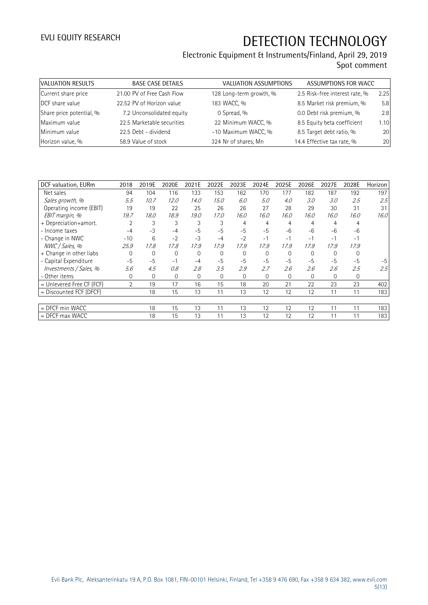| VALUATION RESULTS        | <b>BASE CASE DETAILS</b>   | VALUATION ASSUMPTIONS   | ASSUMPTIONS FOR WACC           |      |
|--------------------------|----------------------------|-------------------------|--------------------------------|------|
| Current share price      | 21.00 PV of Free Cash Flow | 128 Long-term growth, % | 2.5 Risk-free interest rate, % | 2.25 |
| DCF share value          | 22.52 PV of Horizon value  | 183 WACC, %             | 8.5 Market risk premium, %     | 5.8  |
| Share price potential, % | 7.2 Unconsolidated equity  | 0 Spread, %             | 0.0 Debt risk premium, %       | 2.8  |
| Maximum value            | 22.5 Marketable securities | 22 Minimum WACC, %      | 8.5 Equity beta coefficient    | 1.10 |
| Minimum value            | 22.5 Debt - dividend       | -10 Maximum WACC, %     | 8.5 Target debt ratio, %       | 20   |
| Horizon value, %         | 58.9 Value of stock        | 324 Nr of shares, Mn    | 14.4 Effective tax rate, %     | 20   |

| DCF valuation, EURm       | 2018           | 2019E          | 2020E    | 2021E        | 2022E    | 2023E    | 2024E       | 2025E    | 2026E    | 2027E    | 2028E        | Horizon |
|---------------------------|----------------|----------------|----------|--------------|----------|----------|-------------|----------|----------|----------|--------------|---------|
| Net sales                 | 94             | 104            | 116      | 133          | 153      | 162      | 170         | 177      | 182      | 187      | 192          | 197     |
| Sales growth, %           | 5.5            | 10.7           | 12.0     | 14.0         | 15.0     | 6.0      | 5.0         | 4.0      | 3.0      | 3.0      | 2.5          | 2.5     |
| Operating income (EBIT)   | 19             | 19             | 22       | 25           | 26       | 26       | 27          | 28       | 29       | 30       | 31           | 31      |
| EBIT margin, %            | 19.7           | 18.0           | 18.9     | 19.0         | 17.0     | 16.0     | 16.0        | 16.0     | 16.0     | 16.0     | 16.0         | 16.0    |
| + Depreciation+amort.     |                | 3              | 3        | 3            | 3        | 4        | 4           | 4        | 4        | 4        | 4            |         |
| - Income taxes            | $-4$           | $-3$           | $-4$     | $-5$         | $-5$     | $-5$     | $-5$        | $-6$     | $-6$     | $-6$     | -6           |         |
| - Change in NWC           | $-10$          | 6              | $-2$     | $-3$         | $-4$     | $-2$     | $-1$        | $-1$     | $-1$     | $-1$     | $-1$         |         |
| NWC / Sales, %            | 25.9           | 17.8           | 17.8     | 17.9         | 17.9     | 17.9     | 17.9        | 17.9     | 17.9     | 17.9     | 17.9         |         |
| + Change in other liabs   | $\Omega$       | 0              | $\Omega$ | $\mathbf{0}$ | $\Omega$ | $\Omega$ | $\mathbf 0$ | $\Omega$ | $\Omega$ | $\Omega$ | $\Omega$     |         |
| - Capital Expenditure     | $-5$           | $-5$           | $-1$     | $-4$         | $-5$     | $-5$     | $-5$        | $-5$     | $-5$     | $-5$     | $-5$         | $-5$    |
| Investments / Sales, %    | 5.6            | 4.5            | 0.8      | 2.8          | 3.5      | 2.9      | 2.7         | 2.6      | 2.6      | 2.6      | 2.5          | 2.5     |
| - Other items             | 0              | $\overline{0}$ | $\Omega$ | $\mathbf 0$  | $\Omega$ | $\Omega$ | $\Omega$    | $\Omega$ | $\Omega$ | $\Omega$ | $\mathbf{0}$ |         |
| = Unlevered Free CF (FCF) | $\overline{2}$ | 19             | 17       | 16           | 15       | 18       | 20          | 21       | 22       | 23       | 23           | 402     |
| $=$ Discounted FCF (DFCF) |                | 18             | 15       | 13           | 11       | 13       | 12          | 12       | 12       | 11       | 11           | 183     |
|                           |                |                |          |              |          |          |             |          |          |          |              |         |
| $=$ DFCF min WACC         |                | 18             | 15       | 13           | 11       | 13       | 12          | 12       | 12       | 11       | 11           | 183     |
| $=$ DFCF max WACC         |                | 18             | 15       | 13           | 11       | 13       | 12          | 12       | 12       | 11       | 11           | 183     |
|                           |                |                |          |              |          |          |             |          |          |          |              |         |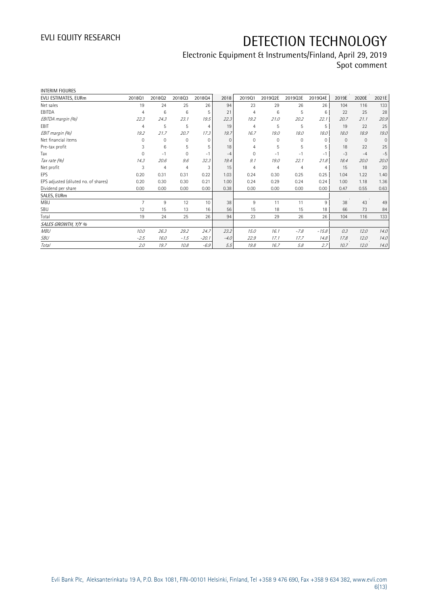| <b>INTERIM FIGURES</b>               |                |                |                |                 |          |                |         |                |          |          |              |              |
|--------------------------------------|----------------|----------------|----------------|-----------------|----------|----------------|---------|----------------|----------|----------|--------------|--------------|
| EVLI ESTIMATES, EURm                 | 201801         | 201802         | 201803         | 201804          | 2018     | 201901         | 2019Q2E | 2019Q3E        | 2019Q4E  | 2019E    | 2020E        | 2021E        |
| Net sales                            | 19             | 24             | 25             | 26              | 94       | 23             | 29      | 26             | 26       | 104      | 116          | 133          |
| EBITDA                               | $\overline{4}$ | 6              | 6              | 5               | 21       | 4              | 6       | 5              | 6        | 22       | 25           | 28           |
| EBITDA margin (%)                    | 22.3           | 24.3           | 23.1           | 19.5            | 22.3     | 19.2           | 21.0    | 20.2           | 22.1     | 20.7     | 21.1         | 20.9         |
| EBIT                                 | 4              | 5              | 5              | 4               | 19       | 4              | 5       | 5              | 5        | 19       | 22           | 25           |
| EBIT margin (%)                      | 19.2           | 21.7           | 20.7           | 17.3            | 19.7     | 16.7           | 19.0    | 18.0           | 18.0     | 18.0     | 18.9         | 19.0         |
| Net financial items                  | $\Omega$       | $\mathbf 0$    | 0              | $\mathbf{0}$    | $\Omega$ | $\mathbf 0$    | 0       | 0              | $\Omega$ | $\Omega$ | $\mathbf{0}$ | $\mathbf{0}$ |
| Pre-tax profit                       | 3              | 6              | 5              | 5               | 18       | 4              | 5       | 5              | 5        | 18       | 22           | 25           |
| Tax                                  | $\Omega$       | $-1$           | $\Omega$       | $-1$            | $-4$     | $\Omega$       | $-1$    | $-1$           | $-1$     | $-3$     | $-4$         | $-5$         |
| Tax rate (%)                         | 14.3           | 20.6           | 9.6            | 32.3            | 19.4     | 9.1            | 19.0    | 22.1           | 21.8     | 18.4     | 20.0         | 20.0         |
| Net profit                           | 3              | $\overline{4}$ | $\overline{4}$ | 3               | 15       | $\overline{4}$ | 4       | $\overline{4}$ | 4        | 15       | 18           | 20           |
| EPS                                  | 0.20           | 0.31           | 0.31           | 0.22            | 1.03     | 0.24           | 0.30    | 0.25           | 0.25     | 1.04     | 1.22         | 1.40         |
| EPS adjusted (diluted no. of shares) | 0.20           | 0.30           | 0.30           | 0.21            | 1.00     | 0.24           | 0.29    | 0.24           | 0.24     | 1.00     | 1.18         | 1.36         |
| Dividend per share                   | 0.00           | 0.00           | 0.00           | 0.00            | 0.38     | 0.00           | 0.00    | 0.00           | 0.00     | 0.47     | 0.55         | 0.63         |
| SALES, EURm                          |                |                |                |                 |          |                |         |                |          |          |              |              |
| <b>MBU</b>                           | $\overline{7}$ | 9              | 12             | 10 <sup>°</sup> | 38       | 9              | 11      | 11             | 9        | 38       | 43           | 49           |
| SBU                                  | 12             | 15             | 13             | 16              | 56       | 15             | 18      | 15             | 18       | 66       | 73           | 84           |
| Total                                | 19             | 24             | 25             | 26              | 94       | 23             | 29      | 26             | 26       | 104      | 116          | 133          |
| SALES GROWTH, Y/Y %                  |                |                |                |                 |          |                |         |                |          |          |              |              |
| <b>MBU</b>                           | 10.0           | 26.3           | 29.2           | 24.7            | 23.2     | 15.0           | 16.1    | $-7.8$         | $-15.8$  | 0.3      | 12.0         | 14.0         |
| SBU                                  | $-2.5$         | 16.0           | $-1.5$         | $-20.1$         | $-4.0$   | 22.9           | 17.1    | 17.7           | 14.8     | 17.8     | 12.0         | 14.0         |
| <b>Total</b>                         | 2.0            | 19.7           | 10.8           | $-6.9$          | 5.5      | 19.8           | 16.7    | 5.8            | 2.7      | 10.7     | 12.0         | 14.0         |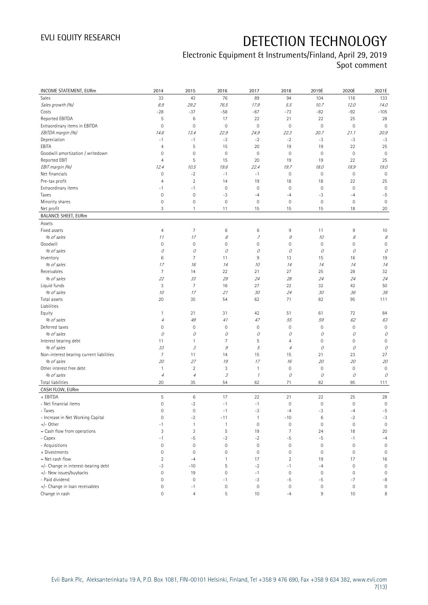| <b>INCOME STATEMENT, EURm</b>            | 2014                | 2015                        | 2016                | 2017         | 2018                | 2019E               | 2020E       | 2021E               |
|------------------------------------------|---------------------|-----------------------------|---------------------|--------------|---------------------|---------------------|-------------|---------------------|
| Sales                                    | 33                  | 43                          | 76                  | 89           | 94                  | 104                 | 116         | 133                 |
| Sales growth (%)                         | 8.9                 | 29.2                        | 76.5                | 17.9         | 5.5                 | 10.7                | 12.0        | 14.0                |
| Costs                                    | $-28$               | $-37$                       | $-58$               | $-67$        | $-73$               | $-82$               | $-92$       | $-105$              |
| Reported EBITDA                          | 5                   | $\,6\,$                     | 17                  | 22           | 21                  | 22                  | 25          | 28                  |
| Extraordinary items in EBITDA            | 0                   | $\mathbf 0$                 | $\mathbb O$         | $\mathbf 0$  | $\mathbf 0$         | $\mathsf{O}\xspace$ | $\mathbf 0$ | $\mathbf 0$         |
| EBITDA margin (%)                        | 14.6                | 13.4                        | 22.9                | 24.9         | 22.3                | 20.7                | 21.1        | 20.9                |
| Depreciation                             | $-1$                | $-1$                        | $-3$                | $-2$         | $-2$                | $-3$                | $-3$        | $-3$                |
| EBITA                                    | $\overline{4}$      | $\sqrt{5}$                  | 15                  | 20           | 19                  | 19                  | 22          | 25                  |
| Goodwill amortization / writedown        | 0                   | $\mathbf 0$                 | $\mathsf{O}\xspace$ | $\mathbf 0$  | $\mathbf 0$         | $\mathsf{O}\xspace$ | $\mathbf 0$ | $\mathbf 0$         |
| Reported EBIT                            | 4                   | $\sqrt{5}$                  | 15                  | 20           | 19                  | 19                  | 22          | 25                  |
| EBIT margin (%)                          | 12.4                | 10.5                        | 19.6                | 22.4         | 19.7                | 18.0                | 18.9        | 19.0                |
| Net financials                           | $\mathsf{O}\xspace$ | $-2$                        | $-1$                | $-1$         | $\mathbf 0$         | $\mathsf{O}\xspace$ | $\mathbb O$ | $\mathbf 0$         |
| Pre-tax profit                           | $\overline{4}$      | $\sqrt{2}$                  | 14                  | 19           | 18                  | 18                  | 22          | 25                  |
| Extraordinary items                      | $-1$                | $-1$                        | $\mathbf 0$         | $\mathbf 0$  | $\mathbf 0$         | $\mathsf{O}\xspace$ | $\mathbf 0$ | $\mathbf 0$         |
| Taxes                                    | $\mathbf 0$         | $\mathbf 0$                 | $-3$                | $-4$         | $-4$                | -3                  | $-4$        | $-5$                |
| Minority shares                          | $\mathsf{O}\xspace$ | $\mathbf 0$                 | $\mathbf 0$         | $\mathbf 0$  | $\mathbf 0$         | $\mathsf{O}\xspace$ | $\mathbf 0$ | $\mathbf 0$         |
| Net profit                               | 3                   | $\mathbf{1}$                | 11                  | 15           | 15                  | 15                  | 18          | 20                  |
| <b>BALANCE SHEET, EURm</b>               |                     |                             |                     |              |                     |                     |             |                     |
| Assets                                   |                     |                             |                     |              |                     |                     |             |                     |
| Fixed assets                             | 4                   | $\overline{7}$              | 6                   | 6            | 9                   | 11                  | 9           | 10                  |
| % of sales                               | 11                  | 17                          | 8                   | 7            | $\mathcal G$        | 10                  | 8           | 8                   |
| Goodwill                                 | 0                   | $\mathbf 0$                 | $\mathsf{O}\xspace$ | $\mathbf 0$  | $\mathbf 0$         | $\mathbf 0$         | $\mathbf 0$ | $\mathbf 0$         |
| % of sales                               | 0                   | 0                           | О                   | 0            | 0                   | 0                   | 0           | 0                   |
| Inventory                                | 6                   | 7                           | 11                  | 9            | 13                  | 15                  | 16          | 19                  |
| % of sales                               | 17                  | 16                          | 14                  | 10           | 14                  | 14                  | 14          | 14                  |
| Receivables                              | 7                   | 14                          | 22                  | 21           | 27                  | 25                  | 28          | 32                  |
| % of sales                               | 22                  | 33                          | 29                  | 24           | 28                  | 24                  | 24          | 24                  |
| Liquid funds                             | 3                   | $\overline{7}$              | 16                  | 27           | 22                  | 32                  | 42          | 50                  |
| % of sales                               | 10                  | 17                          | 21                  | 30           | 24                  | 30                  | 36          | 38                  |
| Total assets                             | 20                  | 35                          | 54                  | 62           | 71                  | 82                  | 95          | 111                 |
| Liabilities                              |                     |                             |                     |              |                     |                     |             |                     |
| Equity                                   | $\mathbf{1}$        | 21                          | 31                  | 42           | 51                  | 61                  | 72          | 84                  |
| % of sales                               | $\sqrt{4}$          | 49                          | 41                  | 47           | 55                  | 59                  | 62          | 63                  |
| Deferred taxes                           | 0                   | $\mathbf 0$                 | $\mathbf 0$         | $\mathbf 0$  | $\mathbf 0$         | $\mathsf{O}\xspace$ | $\mathbf 0$ | $\mathbf 0$         |
| % of sales                               | 0                   | 0                           | О                   | 0            | 0                   | 0                   | 0           | 0                   |
| Interest bearing debt                    | 11                  | $\mathbf{1}$                | 7                   | 5            | $\overline{4}$      | $\mathsf{O}\xspace$ | $\mathbf 0$ | $\mathbf 0$         |
| % of sales                               | 33                  | $\mathcal{S}_{\mathcal{S}}$ | $\mathcal G$        | 5            | $\overline{4}$      | 0                   | 0           | 0                   |
| Non-interest bearing current liabilities | 7                   | 11                          | 14                  | 15           | 15                  | 21                  | 23          | 27                  |
| % of sales                               | 20                  | 27                          | 19                  | 17           | 16                  | 20                  | 20          | 20                  |
| Other interest free debt                 | $\mathbf{1}$        | $\overline{2}$              | 3                   | 1            | $\mathbf 0$         | $\mathbb O$         | $\mathbf 0$ | $\mathbf 0$         |
| % of sales                               | $\sqrt{4}$          | $\overline{4}$              | 3                   | $\mathcal I$ | 0                   | 0                   | 0           | 0                   |
| Total liabilities                        | 20                  | 35                          | 54                  | 62           | 71                  | 82                  | 95          | 111                 |
| CASH FLOW, EURm                          |                     |                             |                     |              |                     |                     |             |                     |
| + EBITDA                                 | 5                   | $\,6\,$                     | 17                  | 22           | 21                  | 22                  | 25          | 28                  |
| - Net financial items                    | $\overline{0}$      | $-2$                        | $-1$                | $-1$         | $\mathbf 0$         | $\mathsf{O}\xspace$ | $\mathbf 0$ | $\mathsf{O}\xspace$ |
| - Taxes                                  | 0                   | $\mathbf 0$                 | $-1$                | $-3$         | $-4$                | $-3$                | $-4$        | $-5$                |
| - Increase in Net Working Capital        | $\mathsf{O}\xspace$ | $-2$                        | $-11$               | $\mathbf{1}$ | $-10$               | $\,6\,$             | $-2$        | $-3$                |
| $+/-$ Other                              | $-1$                | $\mathbf{1}$                | $\mathbf{1}$        | $\mathbf 0$  | $\mathbf 0$         | $\mathbb O$         | $\mathbf 0$ | $\mathbf 0$         |
| = Cash flow from operations              | 3                   | 3                           | 5                   | 19           | 7                   | 24                  | 18          | 20                  |
| - Capex                                  | $-1$                | $-5$                        | $-2$                | $-2$         | -5                  | $-5$                | $-1$        | $-4$                |
| - Acquisitions                           | 0                   | $\mathbf 0$                 | $\mathsf{O}\xspace$ | $\mathbf 0$  | $\mathsf{O}\xspace$ | $\mathbb O$         | $\mathbf 0$ | $\mathsf{O}\xspace$ |
| + Divestments                            | 0                   | $\mathbf 0$                 | $\mathsf{O}\xspace$ | $\mathbf 0$  | $\mathbf 0$         | $\mathsf{O}\xspace$ | $\mathbf 0$ | $\mathsf{O}\xspace$ |
| $=$ Net cash flow                        | $\overline{2}$      | $-4$                        | $\mathbf{1}$        | 17           | $\overline{2}$      | 19                  | 17          | 16                  |
| +/- Change in interest-bearing debt      | $-3$                | $-10$                       | 5                   | $-2$         | $-1$                | $-4$                | $\mathbf 0$ | $\mathbf 0$         |
| +/- New issues/buybacks                  | 0                   | 19                          | $\mathsf{O}\xspace$ | $-1$         | $\mathbf 0$         | 0                   | $\mathbf 0$ | $\mathbf 0$         |
| - Paid dividend                          | 0                   | $\mathbf 0$                 | $-1$                | $-3$         | $-5$                | $-5$                | $-7$        | $-8$                |
| +/- Change in loan receivables           | 0                   | $-1$                        | $\mathbf 0$         | $\mathbf 0$  | $\mathbf 0$         | $\mathbb O$         | $\bf 0$     | $\mathsf{O}\xspace$ |
| Change in cash                           | 0                   | $\overline{4}$              | 5                   | 10           | $-4$                | 9                   | 10          | 8                   |
|                                          |                     |                             |                     |              |                     |                     |             |                     |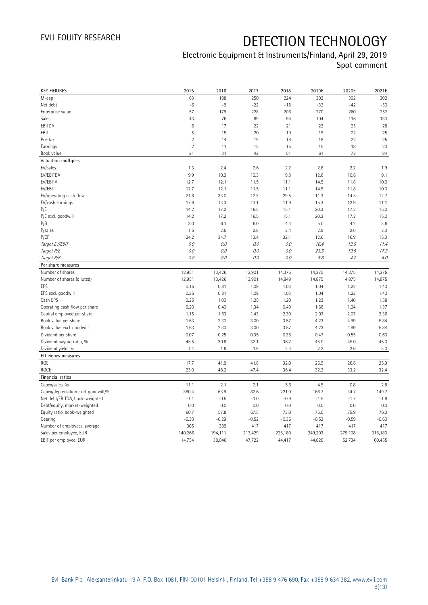| <b>KEY FIGURES</b>                                | 2015              | 2016              | 2017              | 2018              | 2019E             | 2020E             | 2021E             |
|---------------------------------------------------|-------------------|-------------------|-------------------|-------------------|-------------------|-------------------|-------------------|
| M-cap                                             | 63                | 188               | 250               | 224               | 302               | 302               | 302               |
| Net debt                                          | $-6$              | $-9$              | $-22$             | $-18$             | $-32$             | $-42$             | $-50$             |
| Enterprise value                                  | 57                | 179               | 228               | 206               | 270               | 260               | 252               |
| Sales                                             | 43                | 76                | 89                | 94                | 104               | 116               | 133               |
| EBITDA                                            | 6                 | 17                | 22                | 21                | 22                | 25                | 28                |
| EBIT                                              | 5                 | 15                | 20                | 19                | 19                | 22                | 25                |
| Pre-tax                                           | $\overline{2}$    | 14                | 19                | 18                | 18                | 22                | 25                |
| Earnings                                          | $\overline{2}$    | 11                | 15                | 15                | 15                | 18                | 20                |
| Book value                                        | 21                | 31                | 42                | 51                | 61                | 72                | 84                |
| Valuation multiples                               |                   |                   |                   |                   |                   |                   |                   |
| EV/sales                                          | 1.3               | 2.4               | 2.6               | 2.2               | 2.6               | 2.2               | 1.9               |
| EV/EBITDA                                         | 9.9               | 10.3              | 10.3              | 9.8               | 12.6              | 10.6              | 9.1               |
| EV/EBITA                                          | 12.7              | 12.1              | 11.5              | 11.1              | 14.5              | 11.8              | 10.0              |
| EV/EBIT                                           | 12.7              | 12.1              | 11.5              | 11.1              | 14.5              | 11.8              | 10.0              |
| EV/operating cash flow                            | 21.8              | 33.0              | 12.3              | 29.5              | 11.3              | 14.5              | 12.7              |
| EV/cash earnings                                  | 17.6              | 13.3              | 13.1              | 11.9              | 15.3              | 12.9              | 11.1              |
| P/E                                               | 14.2              | 17.2              | 16.5              | 15.1              | 20.3              | 17.2              | 15.0              |
| P/E excl. goodwill                                | 14.2              | 17.2              | 16.5              | 15.1              | 20.3              | 17.2              | 15.0              |
| P/B                                               | 3.0               | 6.1               | 6.0               | 4.4               | 5.0               | 4.2               | 3.6               |
| P/sales                                           | 1.5               | 2.5               | 2.8               | 2.4               | 2.9               | 2.6               | 2.3               |
| <b>P/CF</b>                                       | 24.2              | 34.7              | 13.4              | 32.1              | 12.6              | 16.9              | 15.3              |
| Target EV/EBIT                                    | O.O               | 0.0               | 0.0               | 0.0               | 16.4              | 13.5              | 11.4              |
| Target P/E                                        | 0.0               | 0.0               | 0.0               | O.O               | 23.5              | 19.9              | 17.3              |
| Target P/B                                        | $0.0$             | 0.0               | 0.0               | 0.0               | 5.6               | 4.7               | 4.0               |
| Per share measures                                |                   |                   |                   |                   |                   |                   |                   |
|                                                   |                   |                   |                   |                   |                   |                   |                   |
|                                                   |                   |                   |                   |                   |                   |                   |                   |
| Number of shares                                  | 12,951            | 13,426            | 13,901            | 14,375            | 14,375            | 14,375            | 14,375            |
| Number of shares (diluted)<br>EPS                 | 12,951            | 13,426            | 13,901            | 14,849            | 14,875            | 14,875            | 14,875            |
|                                                   | 0.15              | 0.81              | 1.09              | 1.03              | 1.04              | 1.22              | 1.40              |
| EPS excl. goodwill                                | 0.35              | 0.81              | 1.09              | 1.03              | 1.04              | 1.22              | 1.40              |
| Cash EPS                                          | 0.25              | 1.00              | 1.25              | 1.20              | 1.23              | 1.40              | 1.58              |
| Operating cash flow per share                     | 0.20              | 0.40              | 1.34              | 0.49              | 1.66              | 1.24              | 1.37              |
| Capital employed per share                        | 1.15              | 1.63              | 1.43              | 2.30              | 2.03              | 2.07<br>4.99      | 2.36              |
| Book value per share                              | 1.63<br>1.63      | 2.30<br>2.30      | 3.00<br>3.00      | 3.57<br>3.57      | 4.23<br>4.23      | 4.99              | 5.84<br>5.84      |
| Book value excl. goodwill                         |                   |                   |                   |                   |                   |                   |                   |
| Dividend per share                                | 0.07<br>45.5      | 0.25<br>30.8      | 0.35<br>32.1      | 0.38<br>36.7      | 0.47<br>45.0      | 0.55<br>45.0      | 0.63<br>45.0      |
| Dividend payout ratio, %                          | 1.4               | 1.8               | 1.9               | 2.4               | 2.2               | 2.6               | 3.0               |
| Dividend yield, %                                 |                   |                   |                   |                   |                   |                   |                   |
| Efficiency measures                               |                   |                   |                   |                   |                   |                   |                   |
| <b>ROE</b><br><b>ROCE</b>                         | 17.7<br>23.0      | 41.9<br>48.2      | 41.8<br>47.4      | 32.0<br>36.4      | 26.5              | 26.6<br>33.2      | 25.9              |
|                                                   |                   |                   |                   |                   | 32.2              |                   | 32.4              |
| Financial ratios                                  |                   |                   |                   |                   |                   |                   |                   |
| Capex/sales, %                                    | 11.1              | 2.1               | 2.1               | 5.6               | 4.5               | 0.8               | 2.8               |
| Capex/depreciation excl. goodwill,%               | 380.4             | 63.9              | 82.6              | 221.0             | 166.7             | 34.7              | 149.7             |
| Net debt/EBITDA, book-weighted                    | $-1.1$            | $-0.5$            | $-1.0$            | $-0.9$            | $-1.5$            | $-1.7$            | $-1.8$            |
| Debt/equity, market-weighted                      | 0.0               | 0.0               | 0.0               | 0.0               | 0.0               | 0.0               | 0.0               |
| Equity ratio, book-weighted<br>Gearing            | 60.7              | 57.8              | 67.5              | 73.0              | 75.0              | 75.9              | 76.3              |
|                                                   | $-0.30$<br>305    | $-0.29$<br>389    | $-0.52$<br>417    | $-0.36$           | $-0.52$           | $-0.59$           | $-0.60$<br>417    |
| Number of employees, average                      |                   |                   |                   | 417               | 417               | 417               |                   |
| Sales per employee, EUR<br>EBIT per employee, EUR | 140,266<br>14,754 | 194,111<br>38,046 | 213,429<br>47,722 | 225,180<br>44,417 | 249,203<br>44,820 | 279,108<br>52,734 | 318,183<br>60,455 |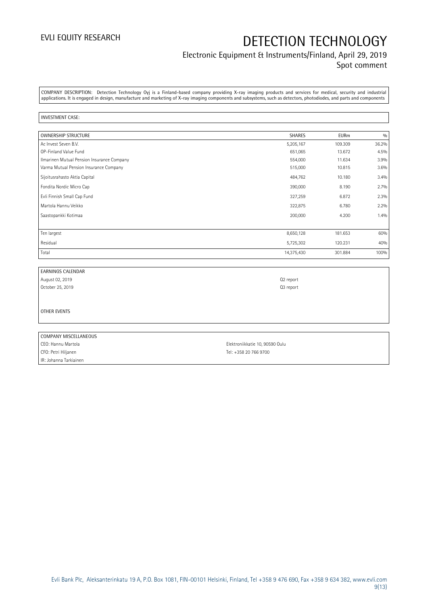### Electronic Equipment & Instruments/Finland, April 29, 2019 Spot comment

COMPANY DESCRIPTION: Detection Technology Oyj is a Finland-based company providing X-ray imaging products and services for medical, security and industrial applications. It is engaged in design, manufacture and marketing of X-ray imaging components and subsystems, such as detectors, photodiodes, and parts and components

#### INVESTMENT CASE:

| <b>OWNERSHIP STRUCTURE</b>                 | <b>SHARES</b> | <b>EURm</b> | 0/0   |
|--------------------------------------------|---------------|-------------|-------|
| Ac Invest Seven B.V.                       | 5,205,167     | 109.309     | 36.2% |
| OP-Finland Value Fund                      | 651,065       | 13.672      | 4.5%  |
| Ilmarinen Mutual Pension Insurance Company | 554,000       | 11.634      | 3.9%  |
| Varma Mutual Pension Insurance Company     | 515,000       | 10.815      | 3.6%  |
| Sijoitusrahasto Aktia Capital              | 484,762       | 10.180      | 3.4%  |
| Fondita Nordic Micro Cap                   | 390,000       | 8.190       | 2.7%  |
| Evli Finnish Small Cap Fund                | 327,259       | 6.872       | 2.3%  |
| Martola Hannu Veikko                       | 322,875       | 6.780       | 2.2%  |
| Saastopankki Kotimaa                       | 200,000       | 4.200       | 1.4%  |
|                                            |               |             |       |
| Ten largest                                | 8,650,128     | 181.653     | 60%   |
| Residual                                   | 5,725,302     | 120.231     | 40%   |
| Total                                      | 14,375,430    | 301.884     | 100%  |

| <b>EARNINGS CALENDAR</b> |                                 |
|--------------------------|---------------------------------|
| August 02, 2019          | Q2 report                       |
| October 25, 2019         | Q3 report                       |
|                          |                                 |
|                          |                                 |
| OTHER EVENTS             |                                 |
|                          |                                 |
|                          |                                 |
| COMPANY MISCELLANEOUS    |                                 |
| CEO: Hannu Martola       | Elektroniikkatie 10, 90590 Oulu |

IR: Johanna Tarkiainen

CFO: Petri Hiljanen Tel: +358 20 766 9700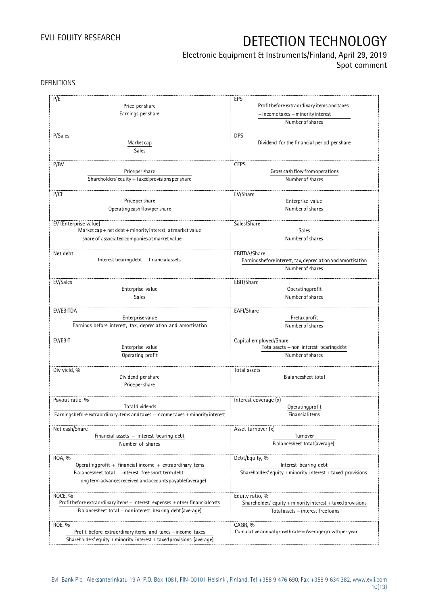## Electronic Equipment & Instruments/Finland, April 29, 2019

Spot comment

DEFINITIONS

| P/E                                                                             | EPS                                                         |
|---------------------------------------------------------------------------------|-------------------------------------------------------------|
| Price per share                                                                 | Profit before extraordinary items and taxes                 |
| Earnings per share                                                              | $-$ income taxes $+$ minority interest                      |
|                                                                                 | Number of shares                                            |
| P/Sales                                                                         | <b>DPS</b>                                                  |
|                                                                                 |                                                             |
| Market cap                                                                      | Dividend for the financial period per share                 |
| Sales                                                                           |                                                             |
|                                                                                 |                                                             |
| P/BV                                                                            | <b>CEPS</b>                                                 |
| Price per share                                                                 | Gross cash flow from operations                             |
| Shareholders' equity $+$ taxed provisions per share                             | Number of shares                                            |
| P/CF                                                                            | EV/Share                                                    |
| Price per share                                                                 | Enterprise value                                            |
|                                                                                 |                                                             |
| Operating cash flow per share                                                   | Number of shares                                            |
| EV (Enterprise value)                                                           | Sales/Share                                                 |
| Market cap + net debt + minority interest at market value                       | Sales                                                       |
| - share of associated companies at market value                                 | Number of shares                                            |
|                                                                                 |                                                             |
| Net debt                                                                        | EBITDA/Share                                                |
| Interest bearing debt - financial assets                                        | Earningsbefore interest, tax, depreciation and amortisation |
|                                                                                 | Number of shares                                            |
|                                                                                 |                                                             |
| EV/Sales                                                                        | EBIT/Share                                                  |
| Enterprise value                                                                | Operating profit                                            |
| Sales                                                                           | Number of shares                                            |
|                                                                                 |                                                             |
| EV/EBITDA                                                                       | EAFI/Share                                                  |
| Enterprise value                                                                | Pretax profit                                               |
| Earnings before interest, tax, depreciation and amortisation                    | Number of shares                                            |
|                                                                                 |                                                             |
| EV/EBIT                                                                         | Capital employed/Share                                      |
| Enterprise value                                                                | Totalassets - non interest bearing debt                     |
| Operating profit                                                                | Number of shares                                            |
|                                                                                 |                                                             |
| Div yield, %                                                                    | Total assets                                                |
| Dividend per share                                                              | Balancesheet total                                          |
| Price per share                                                                 |                                                             |
|                                                                                 |                                                             |
| Payout ratio, %                                                                 | Interest coverage (x)                                       |
| Totaldividends                                                                  | Operatingprofit                                             |
| Earningsbefore extraordinary items and taxes - income taxes + minority interest | Financialitems                                              |
|                                                                                 |                                                             |
| Net cash/Share                                                                  | Asset turnover (x)                                          |
| Financial assets $-$ interest bearing debt                                      | Turnover                                                    |
| Number of shares                                                                | Balancesheet total(average)                                 |
|                                                                                 |                                                             |
| ROA, %                                                                          | Debt/Equity, %                                              |
| Operating profit + financial income + extraordinary items                       | Interest bearing debt                                       |
| Balancesheet total - interest free short term debt                              | Shareholders' equity + minority interest + taxed provisions |
|                                                                                 |                                                             |
| - long term advances received and accounts payable (average)                    |                                                             |
| ROCE, %                                                                         | Equity ratio, %                                             |
|                                                                                 |                                                             |
| Profit before extraordinary items + interest expenses + other financial costs   | Shareholders' equity + minority interest + taxed provisions |
| Balancesheet total - noninterest bearing debt (average)                         | Total assets - interest free loans                          |
|                                                                                 |                                                             |
| ROE, %                                                                          | CAGR, %                                                     |
| Profit before extraordinary items and taxes - income taxes                      | Cumulative annual growth rate = Average growth per year     |
| Shareholders' equity + minority interest + taxed provisions (average)           |                                                             |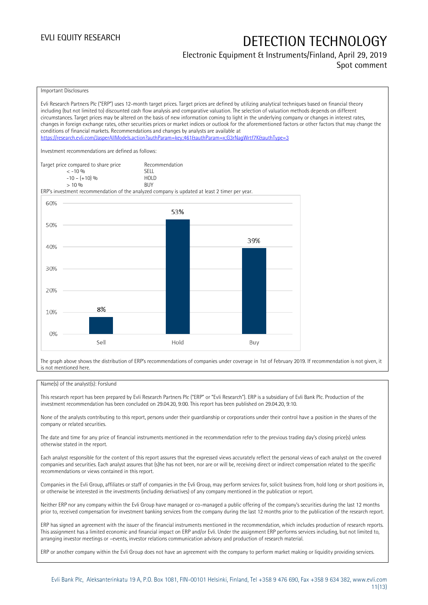### Electronic Equipment & Instruments/Finland, April 29, 2019 Spot comment



The graph above shows the distribution of ERP's recommendations of companies under coverage in 1st of February 2019. If recommendation is not given, it is not mentioned here.

### Name(s) of the analyst(s): Forslund

This research report has been prepared by Evli Research Partners Plc ("ERP" or "Evli Research"). ERP is a subsidiary of Evli Bank Plc. Production of the investment recommendation has been concluded on 29.04.20, 9:00. This report has been published on 29.04.20, 9:10.

None of the analysts contributing to this report, persons under their guardianship or corporations under their control have a position in the shares of the company or related securities.

The date and time for any price of financial instruments mentioned in the recommendation refer to the previous trading day's closing price(s) unless otherwise stated in the report.

Each analyst responsible for the content of this report assures that the expressed views accurately reflect the personal views of each analyst on the covered companies and securities. Each analyst assures that (s)he has not been, nor are or will be, receiving direct or indirect compensation related to the specific recommendations or views contained in this report.

Companies in the Evli Group, affiliates or staff of companies in the Evli Group, may perform services for, solicit business from, hold long or short positions in, or otherwise be interested in the investments (including derivatives) of any company mentioned in the publication or report.

Neither ERP nor any company within the Evli Group have managed or co-managed a public offering of the company's securities during the last 12 months prior to, received compensation for investment banking services from the company during the last 12 months prior to the publication of the research report.

ERP has signed an agreement with the issuer of the financial instruments mentioned in the recommendation, which includes production of research reports. This assignment has a limited economic and financial impact on ERP and/or Evli. Under the assignment ERP performs services including, but not limited to, arranging investor meetings or –events, investor relations communication advisory and production of research material.

ERP or another company within the Evli Group does not have an agreement with the company to perform market making or liquidity providing services.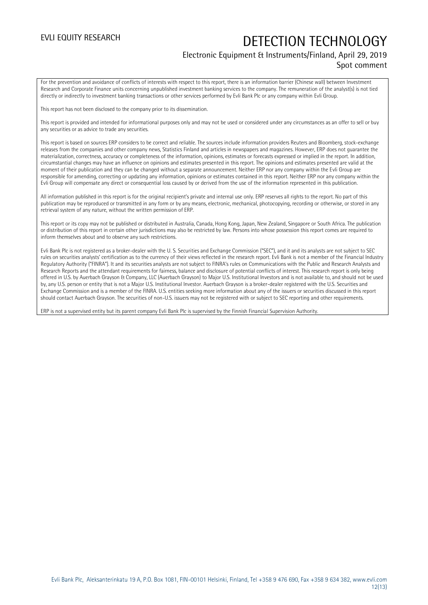### Electronic Equipment & Instruments/Finland, April 29, 2019 Spot comment

For the prevention and avoidance of conflicts of interests with respect to this report, there is an information barrier (Chinese wall) between Investment Research and Corporate Finance units concerning unpublished investment banking services to the company. The remuneration of the analyst(s) is not tied directly or indirectly to investment banking transactions or other services performed by Evli Bank Plc or any company within Evli Group.

This report has not been disclosed to the company prior to its dissemination.

This report is provided and intended for informational purposes only and may not be used or considered under any circumstances as an offer to sell or buy any securities or as advice to trade any securities.

This report is based on sources ERP considers to be correct and reliable. The sources include information providers Reuters and Bloomberg, stock-exchange releases from the companies and other company news, Statistics Finland and articles in newspapers and magazines. However, ERP does not guarantee the materialization, correctness, accuracy or completeness of the information, opinions, estimates or forecasts expressed or implied in the report. In addition, circumstantial changes may have an influence on opinions and estimates presented in this report. The opinions and estimates presented are valid at the moment of their publication and they can be changed without a separate announcement. Neither ERP nor any company within the Evli Group are responsible for amending, correcting or updating any information, opinions or estimates contained in this report. Neither ERP nor any company within the Evli Group will compensate any direct or consequential loss caused by or derived from the use of the information represented in this publication.

All information published in this report is for the original recipient's private and internal use only. ERP reserves all rights to the report. No part of this publication may be reproduced or transmitted in any form or by any means, electronic, mechanical, photocopying, recording or otherwise, or stored in any retrieval system of any nature, without the written permission of ERP.

This report or its copy may not be published or distributed in Australia, Canada, Hong Kong, Japan, New Zealand, Singapore or South Africa. The publication or distribution of this report in certain other jurisdictions may also be restricted by law. Persons into whose possession this report comes are required to inform themselves about and to observe any such restrictions.

Evli Bank Plc is not registered as a broker-dealer with the U. S. Securities and Exchange Commission ("SEC"), and it and its analysts are not subject to SEC rules on securities analysts' certification as to the currency of their views reflected in the research report. Evli Bank is not a member of the Financial Industry Regulatory Authority ("FINRA"). It and its securities analysts are not subject to FINRA's rules on Communications with the Public and Research Analysts and Research Reports and the attendant requirements for fairness, balance and disclosure of potential conflicts of interest. This research report is only being offered in U.S. by Auerbach Grayson & Company, LLC (Auerbach Grayson) to Major U.S. Institutional Investors and is not available to, and should not be used by, any U.S. person or entity that is not a Major U.S. Institutional Investor. Auerbach Grayson is a broker-dealer registered with the U.S. Securities and Exchange Commission and is a member of the FINRA. U.S. entities seeking more information about any of the issuers or securities discussed in this report should contact Auerbach Grayson. The securities of non-U.S. issuers may not be registered with or subject to SEC reporting and other requirements.

ERP is not a supervised entity but its parent company Evli Bank Plc is supervised by the Finnish Financial Supervision Authority.